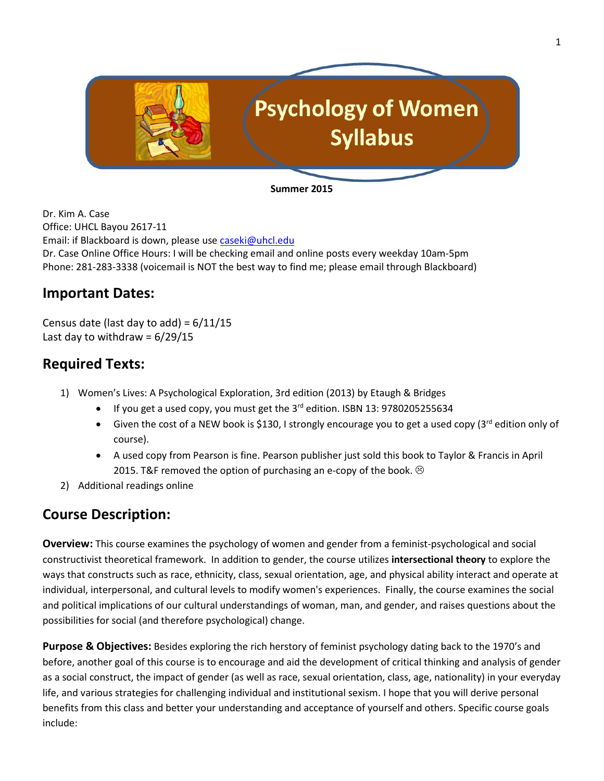

**Summer 2015**

Dr. Kim A. Case Office: UHCL Bayou 2617-11 Email: if Blackboard is down, please use [caseki@uhcl.edu](mailto:caseki@uhcl.edu) Dr. Case Online Office Hours: I will be checking email and online posts every weekday 10am-5pm Phone: 281-283-3338 (voicemail is NOT the best way to find me; please email through Blackboard)

# **Important Dates:**

Census date (last day to add) =  $6/11/15$ Last day to withdraw =  $6/29/15$ 

# **Required Texts:**

- 1) Women's Lives: A Psychological Exploration, 3rd edition (2013) by Etaugh & Bridges
	- If you get a used copy, you must get the 3<sup>rd</sup> edition. ISBN 13: 9780205255634
	- Given the cost of a NEW book is \$130, I strongly encourage you to get a used copy (3rd edition only of course).
	- A used copy from Pearson is fine. Pearson publisher just sold this book to Taylor & Francis in April 2015. T&F removed the option of purchasing an e-copy of the book.  $\odot$
- 2) Additional readings online

# **Course Description:**

**Overview:** This course examines the psychology of women and gender from a feminist-psychological and social constructivist theoretical framework. In addition to gender, the course utilizes **intersectional theory** to explore the ways that constructs such as race, ethnicity, class, sexual orientation, age, and physical ability interact and operate at individual, interpersonal, and cultural levels to modify women's experiences. Finally, the course examines the social and political implications of our cultural understandings of woman, man, and gender, and raises questions about the possibilities for social (and therefore psychological) change.

**Purpose & Objectives:** Besides exploring the rich herstory of feminist psychology dating back to the 1970's and before, another goal of this course is to encourage and aid the development of critical thinking and analysis of gender as a social construct, the impact of gender (as well as race, sexual orientation, class, age, nationality) in your everyday life, and various strategies for challenging individual and institutional sexism. I hope that you will derive personal benefits from this class and better your understanding and acceptance of yourself and others. Specific course goals include: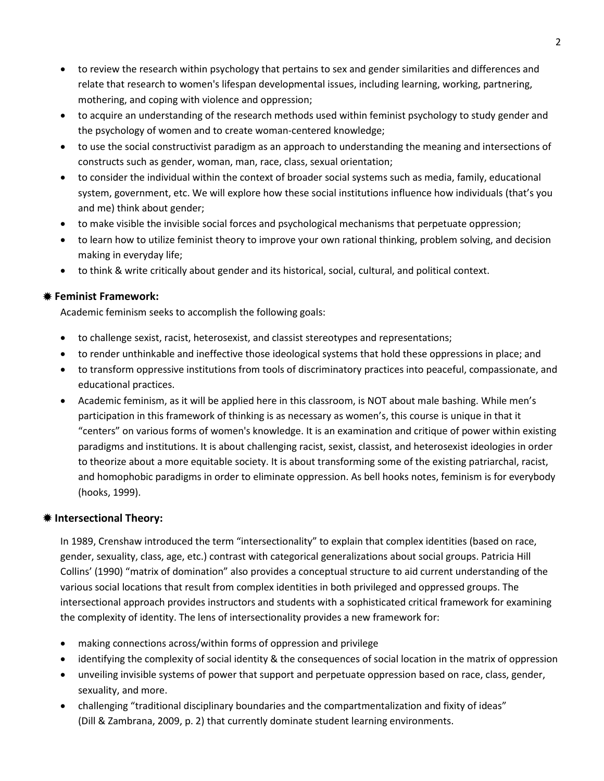- to review the research within psychology that pertains to sex and gender similarities and differences and relate that research to women's lifespan developmental issues, including learning, working, partnering, mothering, and coping with violence and oppression;
- to acquire an understanding of the research methods used within feminist psychology to study gender and the psychology of women and to create woman-centered knowledge;
- to use the social constructivist paradigm as an approach to understanding the meaning and intersections of constructs such as gender, woman, man, race, class, sexual orientation;
- to consider the individual within the context of broader social systems such as media, family, educational system, government, etc. We will explore how these social institutions influence how individuals (that's you and me) think about gender;
- to make visible the invisible social forces and psychological mechanisms that perpetuate oppression;
- to learn how to utilize feminist theory to improve your own rational thinking, problem solving, and decision making in everyday life;
- to think & write critically about gender and its historical, social, cultural, and political context.

### **Feminist Framework:**

Academic feminism seeks to accomplish the following goals:

- to challenge sexist, racist, heterosexist, and classist stereotypes and representations;
- to render unthinkable and ineffective those ideological systems that hold these oppressions in place; and
- to transform oppressive institutions from tools of discriminatory practices into peaceful, compassionate, and educational practices.
- Academic feminism, as it will be applied here in this classroom, is NOT about male bashing. While men's participation in this framework of thinking is as necessary as women's, this course is unique in that it "centers" on various forms of women's knowledge. It is an examination and critique of power within existing paradigms and institutions. It is about challenging racist, sexist, classist, and heterosexist ideologies in order to theorize about a more equitable society. It is about transforming some of the existing patriarchal, racist, and homophobic paradigms in order to eliminate oppression. As bell hooks notes, feminism is for everybody (hooks, 1999).

### **Intersectional Theory:**

In 1989, Crenshaw introduced the term "intersectionality" to explain that complex identities (based on race, gender, sexuality, class, age, etc.) contrast with categorical generalizations about social groups. Patricia Hill Collins' (1990) "matrix of domination" also provides a conceptual structure to aid current understanding of the various social locations that result from complex identities in both privileged and oppressed groups. The intersectional approach provides instructors and students with a sophisticated critical framework for examining the complexity of identity. The lens of intersectionality provides a new framework for:

- making connections across/within forms of oppression and privilege
- identifying the complexity of social identity & the consequences of social location in the matrix of oppression
- unveiling invisible systems of power that support and perpetuate oppression based on race, class, gender, sexuality, and more.
- challenging "traditional disciplinary boundaries and the compartmentalization and fixity of ideas" (Dill & Zambrana, 2009, p. 2) that currently dominate student learning environments.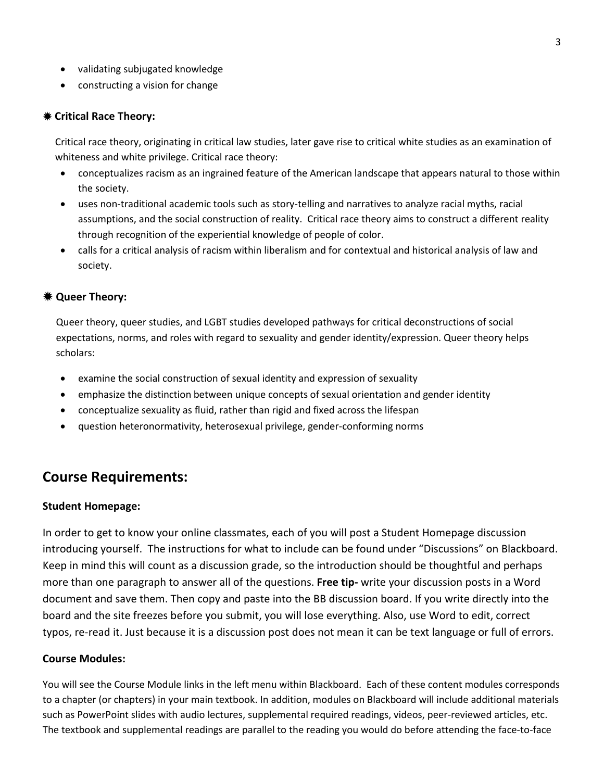- validating subjugated knowledge
- constructing a vision for change

#### **Critical Race Theory:**

Critical race theory, originating in critical law studies, later gave rise to critical white studies as an examination of whiteness and white privilege. Critical race theory:

- conceptualizes racism as an ingrained feature of the American landscape that appears natural to those within the society.
- uses non-traditional academic tools such as story-telling and narratives to analyze racial myths, racial assumptions, and the social construction of reality. Critical race theory aims to construct a different reality through recognition of the experiential knowledge of people of color.
- calls for a critical analysis of racism within liberalism and for contextual and historical analysis of law and society.

#### **Queer Theory:**

Queer theory, queer studies, and LGBT studies developed pathways for critical deconstructions of social expectations, norms, and roles with regard to sexuality and gender identity/expression. Queer theory helps scholars:

- examine the social construction of sexual identity and expression of sexuality
- emphasize the distinction between unique concepts of sexual orientation and gender identity
- conceptualize sexuality as fluid, rather than rigid and fixed across the lifespan
- question heteronormativity, heterosexual privilege, gender-conforming norms

### **Course Requirements:**

#### **Student Homepage:**

In order to get to know your online classmates, each of you will post a Student Homepage discussion introducing yourself. The instructions for what to include can be found under "Discussions" on Blackboard. Keep in mind this will count as a discussion grade, so the introduction should be thoughtful and perhaps more than one paragraph to answer all of the questions. **Free tip-** write your discussion posts in a Word document and save them. Then copy and paste into the BB discussion board. If you write directly into the board and the site freezes before you submit, you will lose everything. Also, use Word to edit, correct typos, re-read it. Just because it is a discussion post does not mean it can be text language or full of errors.

#### **Course Modules:**

You will see the Course Module links in the left menu within Blackboard. Each of these content modules corresponds to a chapter (or chapters) in your main textbook. In addition, modules on Blackboard will include additional materials such as PowerPoint slides with audio lectures, supplemental required readings, videos, peer-reviewed articles, etc. The textbook and supplemental readings are parallel to the reading you would do before attending the face-to-face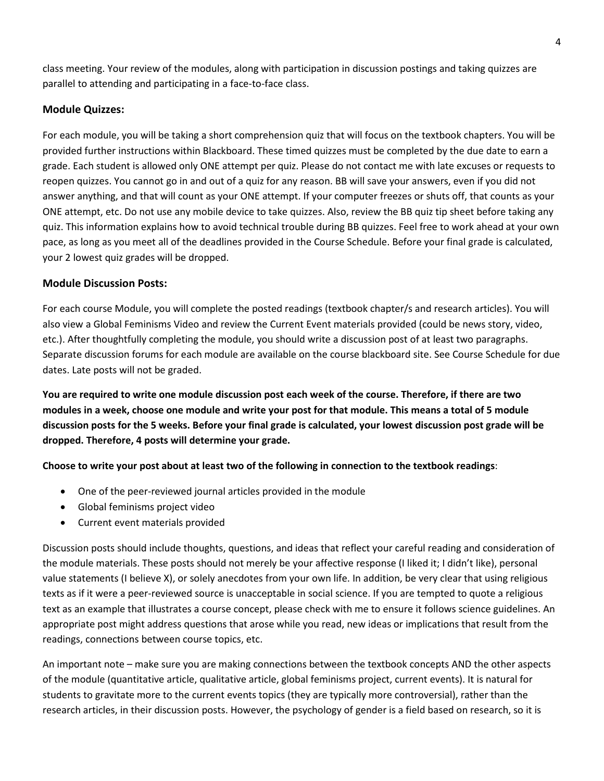class meeting. Your review of the modules, along with participation in discussion postings and taking quizzes are parallel to attending and participating in a face-to-face class.

#### **Module Quizzes:**

For each module, you will be taking a short comprehension quiz that will focus on the textbook chapters. You will be provided further instructions within Blackboard. These timed quizzes must be completed by the due date to earn a grade. Each student is allowed only ONE attempt per quiz. Please do not contact me with late excuses or requests to reopen quizzes. You cannot go in and out of a quiz for any reason. BB will save your answers, even if you did not answer anything, and that will count as your ONE attempt. If your computer freezes or shuts off, that counts as your ONE attempt, etc. Do not use any mobile device to take quizzes. Also, review the BB quiz tip sheet before taking any quiz. This information explains how to avoid technical trouble during BB quizzes. Feel free to work ahead at your own pace, as long as you meet all of the deadlines provided in the Course Schedule. Before your final grade is calculated, your 2 lowest quiz grades will be dropped.

#### **Module Discussion Posts:**

For each course Module, you will complete the posted readings (textbook chapter/s and research articles). You will also view a Global Feminisms Video and review the Current Event materials provided (could be news story, video, etc.). After thoughtfully completing the module, you should write a discussion post of at least two paragraphs. Separate discussion forums for each module are available on the course blackboard site. See Course Schedule for due dates. Late posts will not be graded.

**You are required to write one module discussion post each week of the course. Therefore, if there are two modules in a week, choose one module and write your post for that module. This means a total of 5 module discussion posts for the 5 weeks. Before your final grade is calculated, your lowest discussion post grade will be dropped. Therefore, 4 posts will determine your grade.**

**Choose to write your post about at least two of the following in connection to the textbook readings**:

- One of the peer-reviewed journal articles provided in the module
- Global feminisms project video
- Current event materials provided

Discussion posts should include thoughts, questions, and ideas that reflect your careful reading and consideration of the module materials. These posts should not merely be your affective response (I liked it; I didn't like), personal value statements (I believe X), or solely anecdotes from your own life. In addition, be very clear that using religious texts as if it were a peer-reviewed source is unacceptable in social science. If you are tempted to quote a religious text as an example that illustrates a course concept, please check with me to ensure it follows science guidelines. An appropriate post might address questions that arose while you read, new ideas or implications that result from the readings, connections between course topics, etc.

An important note – make sure you are making connections between the textbook concepts AND the other aspects of the module (quantitative article, qualitative article, global feminisms project, current events). It is natural for students to gravitate more to the current events topics (they are typically more controversial), rather than the research articles, in their discussion posts. However, the psychology of gender is a field based on research, so it is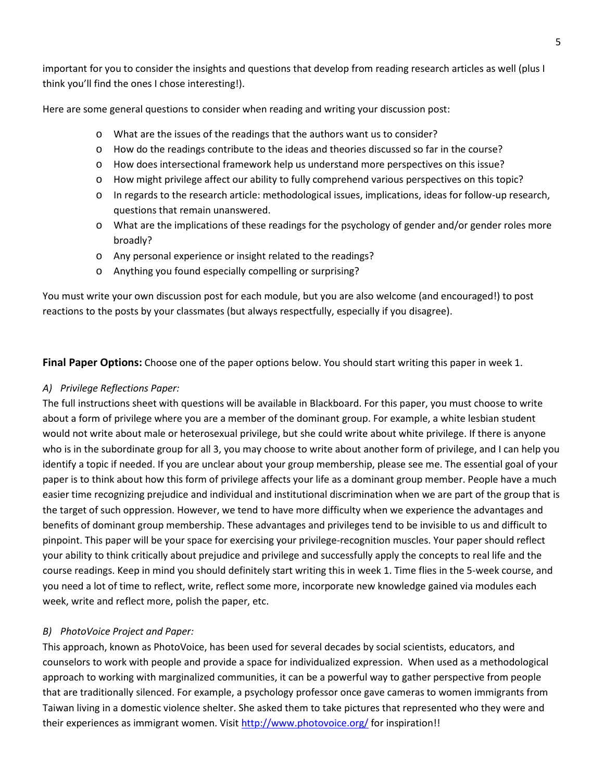important for you to consider the insights and questions that develop from reading research articles as well (plus I think you'll find the ones I chose interesting!).

Here are some general questions to consider when reading and writing your discussion post:

- o What are the issues of the readings that the authors want us to consider?
- o How do the readings contribute to the ideas and theories discussed so far in the course?
- o How does intersectional framework help us understand more perspectives on this issue?
- o How might privilege affect our ability to fully comprehend various perspectives on this topic?
- o In regards to the research article: methodological issues, implications, ideas for follow-up research, questions that remain unanswered.
- o What are the implications of these readings for the psychology of gender and/or gender roles more broadly?
- o Any personal experience or insight related to the readings?
- o Anything you found especially compelling or surprising?

You must write your own discussion post for each module, but you are also welcome (and encouraged!) to post reactions to the posts by your classmates (but always respectfully, especially if you disagree).

**Final Paper Options:** Choose one of the paper options below. You should start writing this paper in week 1.

#### *A) Privilege Reflections Paper:*

The full instructions sheet with questions will be available in Blackboard. For this paper, you must choose to write about a form of privilege where you are a member of the dominant group. For example, a white lesbian student would not write about male or heterosexual privilege, but she could write about white privilege. If there is anyone who is in the subordinate group for all 3, you may choose to write about another form of privilege, and I can help you identify a topic if needed. If you are unclear about your group membership, please see me. The essential goal of your paper is to think about how this form of privilege affects your life as a dominant group member. People have a much easier time recognizing prejudice and individual and institutional discrimination when we are part of the group that is the target of such oppression. However, we tend to have more difficulty when we experience the advantages and benefits of dominant group membership. These advantages and privileges tend to be invisible to us and difficult to pinpoint. This paper will be your space for exercising your privilege-recognition muscles. Your paper should reflect your ability to think critically about prejudice and privilege and successfully apply the concepts to real life and the course readings. Keep in mind you should definitely start writing this in week 1. Time flies in the 5-week course, and you need a lot of time to reflect, write, reflect some more, incorporate new knowledge gained via modules each week, write and reflect more, polish the paper, etc.

#### *B) PhotoVoice Project and Paper:*

This approach, known as PhotoVoice, has been used for several decades by social scientists, educators, and counselors to work with people and provide a space for individualized expression. When used as a methodological approach to working with marginalized communities, it can be a powerful way to gather perspective from people that are traditionally silenced. For example, a psychology professor once gave cameras to women immigrants from Taiwan living in a domestic violence shelter. She asked them to take pictures that represented who they were and their experiences as immigrant women. Visi[t http://www.photovoice.org/](http://www.photovoice.org/) for inspiration!!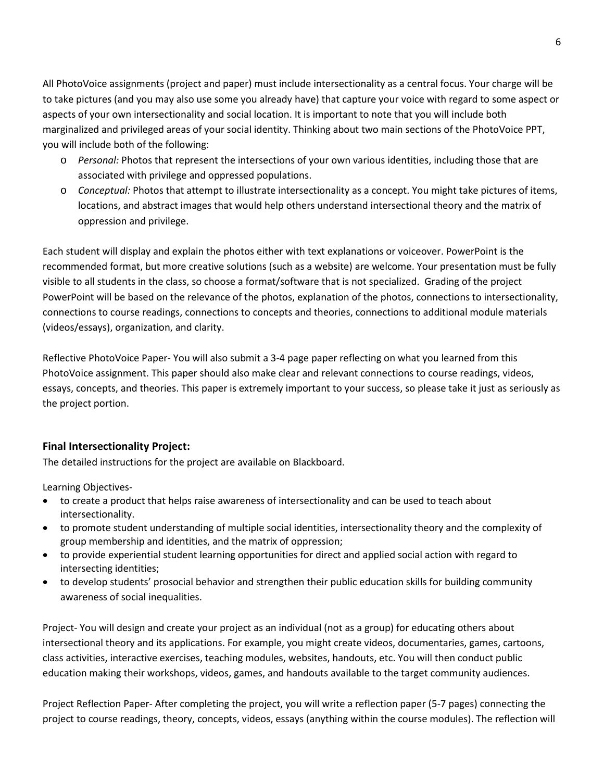All PhotoVoice assignments (project and paper) must include intersectionality as a central focus. Your charge will be to take pictures (and you may also use some you already have) that capture your voice with regard to some aspect or aspects of your own intersectionality and social location. It is important to note that you will include both marginalized and privileged areas of your social identity. Thinking about two main sections of the PhotoVoice PPT, you will include both of the following:

- o *Personal:* Photos that represent the intersections of your own various identities, including those that are associated with privilege and oppressed populations.
- o *Conceptual:* Photos that attempt to illustrate intersectionality as a concept. You might take pictures of items, locations, and abstract images that would help others understand intersectional theory and the matrix of oppression and privilege.

Each student will display and explain the photos either with text explanations or voiceover. PowerPoint is the recommended format, but more creative solutions (such as a website) are welcome. Your presentation must be fully visible to all students in the class, so choose a format/software that is not specialized. Grading of the project PowerPoint will be based on the relevance of the photos, explanation of the photos, connections to intersectionality, connections to course readings, connections to concepts and theories, connections to additional module materials (videos/essays), organization, and clarity.

Reflective PhotoVoice Paper- You will also submit a 3-4 page paper reflecting on what you learned from this PhotoVoice assignment. This paper should also make clear and relevant connections to course readings, videos, essays, concepts, and theories. This paper is extremely important to your success, so please take it just as seriously as the project portion.

#### **Final Intersectionality Project:**

The detailed instructions for the project are available on Blackboard.

Learning Objectives-

- to create a product that helps raise awareness of intersectionality and can be used to teach about intersectionality.
- to promote student understanding of multiple social identities, intersectionality theory and the complexity of group membership and identities, and the matrix of oppression;
- to provide experiential student learning opportunities for direct and applied social action with regard to intersecting identities;
- to develop students' prosocial behavior and strengthen their public education skills for building community awareness of social inequalities.

Project- You will design and create your project as an individual (not as a group) for educating others about intersectional theory and its applications. For example, you might create videos, documentaries, games, cartoons, class activities, interactive exercises, teaching modules, websites, handouts, etc. You will then conduct public education making their workshops, videos, games, and handouts available to the target community audiences.

Project Reflection Paper- After completing the project, you will write a reflection paper (5-7 pages) connecting the project to course readings, theory, concepts, videos, essays (anything within the course modules). The reflection will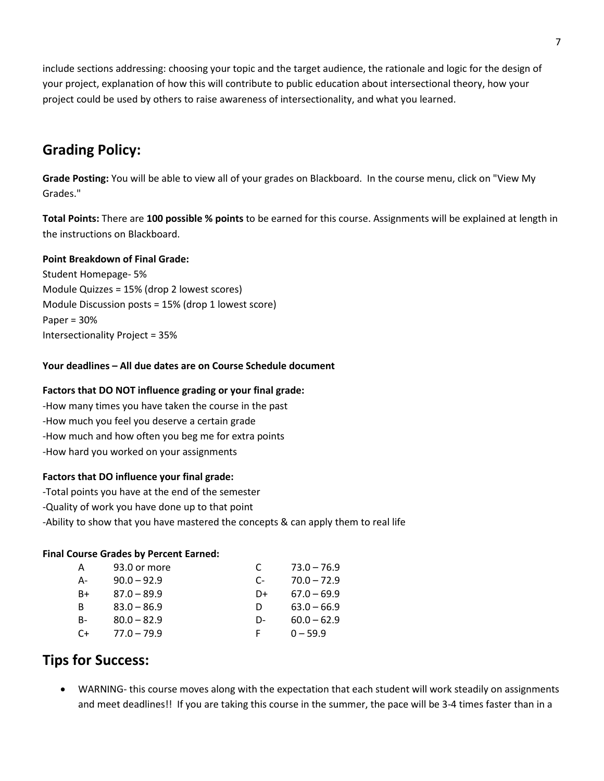include sections addressing: choosing your topic and the target audience, the rationale and logic for the design of your project, explanation of how this will contribute to public education about intersectional theory, how your project could be used by others to raise awareness of intersectionality, and what you learned.

# **Grading Policy:**

**Grade Posting:** You will be able to view all of your grades on Blackboard. In the course menu, click on "View My Grades."

**Total Points:** There are **100 possible % points** to be earned for this course. Assignments will be explained at length in the instructions on Blackboard.

#### **Point Breakdown of Final Grade:**

Student Homepage- 5% Module Quizzes = 15% (drop 2 lowest scores) Module Discussion posts = 15% (drop 1 lowest score) Paper = 30% Intersectionality Project = 35%

#### **Your deadlines – All due dates are on Course Schedule document**

### **Factors that DO NOT influence grading or your final grade:**

-How many times you have taken the course in the past -How much you feel you deserve a certain grade -How much and how often you beg me for extra points -How hard you worked on your assignments

#### **Factors that DO influence your final grade:**

- -Total points you have at the end of the semester
- -Quality of work you have done up to that point
- -Ability to show that you have mastered the concepts & can apply them to real life

#### **Final Course Grades by Percent Earned:**

| А         | 93.0 or more  | C  | $73.0 - 76.9$ |
|-----------|---------------|----|---------------|
| A-        | $90.0 - 92.9$ | C- | $70.0 - 72.9$ |
| B+        | $87.0 - 89.9$ | D+ | $67.0 - 69.9$ |
| B         | $83.0 - 86.9$ | D  | $63.0 - 66.9$ |
| <b>B-</b> | $80.0 - 82.9$ | D- | $60.0 - 62.9$ |
| C+        | $77.0 - 79.9$ | F. | $0 - 59.9$    |

# **Tips for Success:**

• WARNING- this course moves along with the expectation that each student will work steadily on assignments and meet deadlines!! If you are taking this course in the summer, the pace will be 3-4 times faster than in a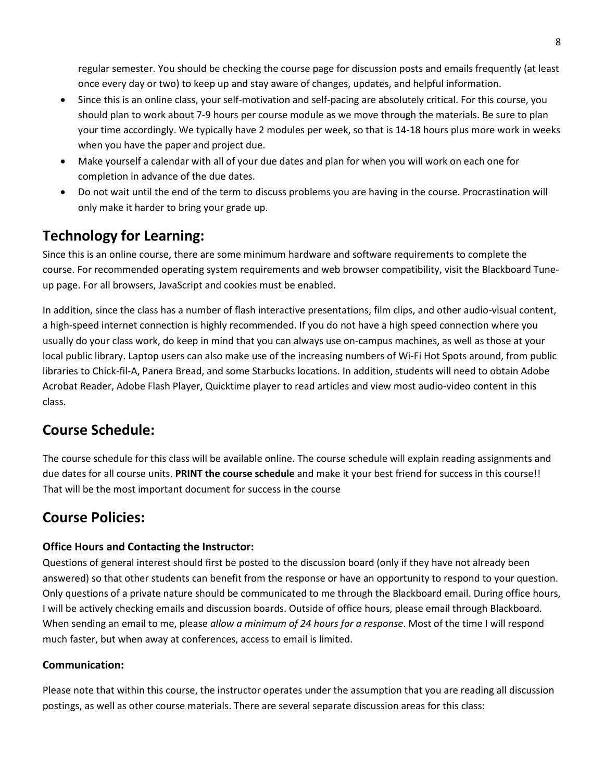regular semester. You should be checking the course page for discussion posts and emails frequently (at least once every day or two) to keep up and stay aware of changes, updates, and helpful information.

- Since this is an online class, your self-motivation and self-pacing are absolutely critical. For this course, you should plan to work about 7-9 hours per course module as we move through the materials. Be sure to plan your time accordingly. We typically have 2 modules per week, so that is 14-18 hours plus more work in weeks when you have the paper and project due.
- Make yourself a calendar with all of your due dates and plan for when you will work on each one for completion in advance of the due dates.
- Do not wait until the end of the term to discuss problems you are having in the course. Procrastination will only make it harder to bring your grade up.

# **Technology for Learning:**

Since this is an online course, there are some minimum hardware and software requirements to complete the course. For recommended operating system requirements and web browser compatibility, visit the Blackboard Tuneup page. For all browsers, JavaScript and cookies must be enabled.

In addition, since the class has a number of flash interactive presentations, film clips, and other audio-visual content, a high-speed internet connection is highly recommended. If you do not have a high speed connection where you usually do your class work, do keep in mind that you can always use on-campus machines, as well as those at your local public library. Laptop users can also make use of the increasing numbers of Wi-Fi Hot Spots around, from public libraries to Chick-fil-A, Panera Bread, and some Starbucks locations. In addition, students will need to obtain Adobe Acrobat Reader, Adobe Flash Player, Quicktime player to read articles and view most audio-video content in this class.

# **Course Schedule:**

The course schedule for this class will be available online. The course schedule will explain reading assignments and due dates for all course units. **PRINT the course schedule** and make it your best friend for success in this course!! That will be the most important document for success in the course

# **Course Policies:**

### **Office Hours and Contacting the Instructor:**

Questions of general interest should first be posted to the discussion board (only if they have not already been answered) so that other students can benefit from the response or have an opportunity to respond to your question. Only questions of a private nature should be communicated to me through the Blackboard email. During office hours, I will be actively checking emails and discussion boards. Outside of office hours, please email through Blackboard. When sending an email to me, please *allow a minimum of 24 hours for a response*. Most of the time I will respond much faster, but when away at conferences, access to email is limited.

### **Communication:**

Please note that within this course, the instructor operates under the assumption that you are reading all discussion postings, as well as other course materials. There are several separate discussion areas for this class: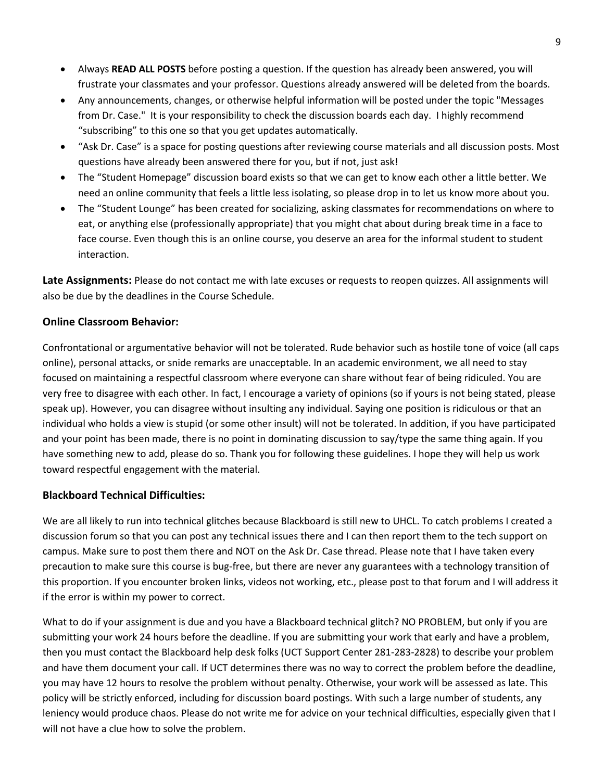- Always **READ ALL POSTS** before posting a question. If the question has already been answered, you will frustrate your classmates and your professor. Questions already answered will be deleted from the boards.
- Any announcements, changes, or otherwise helpful information will be posted under the topic "Messages from Dr. Case." It is your responsibility to check the discussion boards each day. I highly recommend "subscribing" to this one so that you get updates automatically.
- "Ask Dr. Case" is a space for posting questions after reviewing course materials and all discussion posts. Most questions have already been answered there for you, but if not, just ask!
- The "Student Homepage" discussion board exists so that we can get to know each other a little better. We need an online community that feels a little less isolating, so please drop in to let us know more about you.
- The "Student Lounge" has been created for socializing, asking classmates for recommendations on where to eat, or anything else (professionally appropriate) that you might chat about during break time in a face to face course. Even though this is an online course, you deserve an area for the informal student to student interaction.

**Late Assignments:** Please do not contact me with late excuses or requests to reopen quizzes. All assignments will also be due by the deadlines in the Course Schedule.

#### **Online Classroom Behavior:**

Confrontational or argumentative behavior will not be tolerated. Rude behavior such as hostile tone of voice (all caps online), personal attacks, or snide remarks are unacceptable. In an academic environment, we all need to stay focused on maintaining a respectful classroom where everyone can share without fear of being ridiculed. You are very free to disagree with each other. In fact, I encourage a variety of opinions (so if yours is not being stated, please speak up). However, you can disagree without insulting any individual. Saying one position is ridiculous or that an individual who holds a view is stupid (or some other insult) will not be tolerated. In addition, if you have participated and your point has been made, there is no point in dominating discussion to say/type the same thing again. If you have something new to add, please do so. Thank you for following these guidelines. I hope they will help us work toward respectful engagement with the material.

#### **Blackboard Technical Difficulties:**

We are all likely to run into technical glitches because Blackboard is still new to UHCL. To catch problems I created a discussion forum so that you can post any technical issues there and I can then report them to the tech support on campus. Make sure to post them there and NOT on the Ask Dr. Case thread. Please note that I have taken every precaution to make sure this course is bug-free, but there are never any guarantees with a technology transition of this proportion. If you encounter broken links, videos not working, etc., please post to that forum and I will address it if the error is within my power to correct.

What to do if your assignment is due and you have a Blackboard technical glitch? NO PROBLEM, but only if you are submitting your work 24 hours before the deadline. If you are submitting your work that early and have a problem, then you must contact the Blackboard help desk folks (UCT Support Center 281-283-2828) to describe your problem and have them document your call. If UCT determines there was no way to correct the problem before the deadline, you may have 12 hours to resolve the problem without penalty. Otherwise, your work will be assessed as late. This policy will be strictly enforced, including for discussion board postings. With such a large number of students, any leniency would produce chaos. Please do not write me for advice on your technical difficulties, especially given that I will not have a clue how to solve the problem.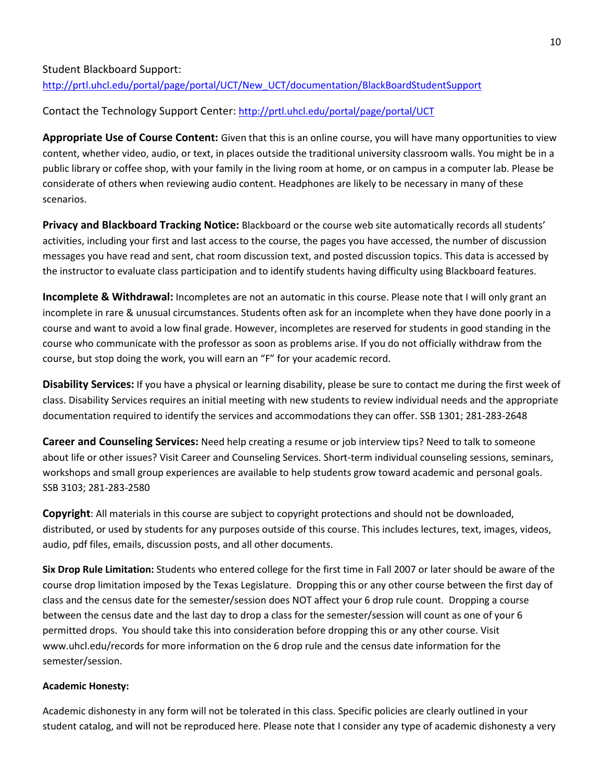### Student Blackboard Support: [http://prtl.uhcl.edu/portal/page/portal/UCT/New\\_UCT/documentation/BlackBoardStudentSupport](http://prtl.uhcl.edu/portal/page/portal/UCT/New_UCT/documentation/BlackBoardStudentSupport)

### Contact the Technology Support Center: <http://prtl.uhcl.edu/portal/page/portal/UCT>

**Appropriate Use of Course Content:** Given that this is an online course, you will have many opportunities to view content, whether video, audio, or text, in places outside the traditional university classroom walls. You might be in a public library or coffee shop, with your family in the living room at home, or on campus in a computer lab. Please be considerate of others when reviewing audio content. Headphones are likely to be necessary in many of these scenarios.

**Privacy and Blackboard Tracking Notice:** Blackboard or the course web site automatically records all students' activities, including your first and last access to the course, the pages you have accessed, the number of discussion messages you have read and sent, chat room discussion text, and posted discussion topics. This data is accessed by the instructor to evaluate class participation and to identify students having difficulty using Blackboard features.

**Incomplete & Withdrawal:** Incompletes are not an automatic in this course. Please note that I will only grant an incomplete in rare & unusual circumstances. Students often ask for an incomplete when they have done poorly in a course and want to avoid a low final grade. However, incompletes are reserved for students in good standing in the course who communicate with the professor as soon as problems arise. If you do not officially withdraw from the course, but stop doing the work, you will earn an "F" for your academic record.

**Disability Services:** If you have a physical or learning disability, please be sure to contact me during the first week of class. Disability Services requires an initial meeting with new students to review individual needs and the appropriate documentation required to identify the services and accommodations they can offer. SSB 1301; 281-283-2648

**Career and Counseling Services:** Need help creating a resume or job interview tips? Need to talk to someone about life or other issues? Visit Career and Counseling Services. Short-term individual counseling sessions, seminars, workshops and small group experiences are available to help students grow toward academic and personal goals. SSB 3103; 281-283-2580

**Copyright**: All materials in this course are subject to copyright protections and should not be downloaded, distributed, or used by students for any purposes outside of this course. This includes lectures, text, images, videos, audio, pdf files, emails, discussion posts, and all other documents.

**Six Drop Rule Limitation:** Students who entered college for the first time in Fall 2007 or later should be aware of the course drop limitation imposed by the Texas Legislature. Dropping this or any other course between the first day of class and the census date for the semester/session does NOT affect your 6 drop rule count. Dropping a course between the census date and the last day to drop a class for the semester/session will count as one of your 6 permitted drops. You should take this into consideration before dropping this or any other course. Visit [www.uhcl.edu/records](http://www.uhcl.edu/records) for more information on the 6 drop rule and the census date information for the semester/session.

#### **Academic Honesty:**

Academic dishonesty in any form will not be tolerated in this class. Specific policies are clearly outlined in your student catalog, and will not be reproduced here. Please note that I consider any type of academic dishonesty a very